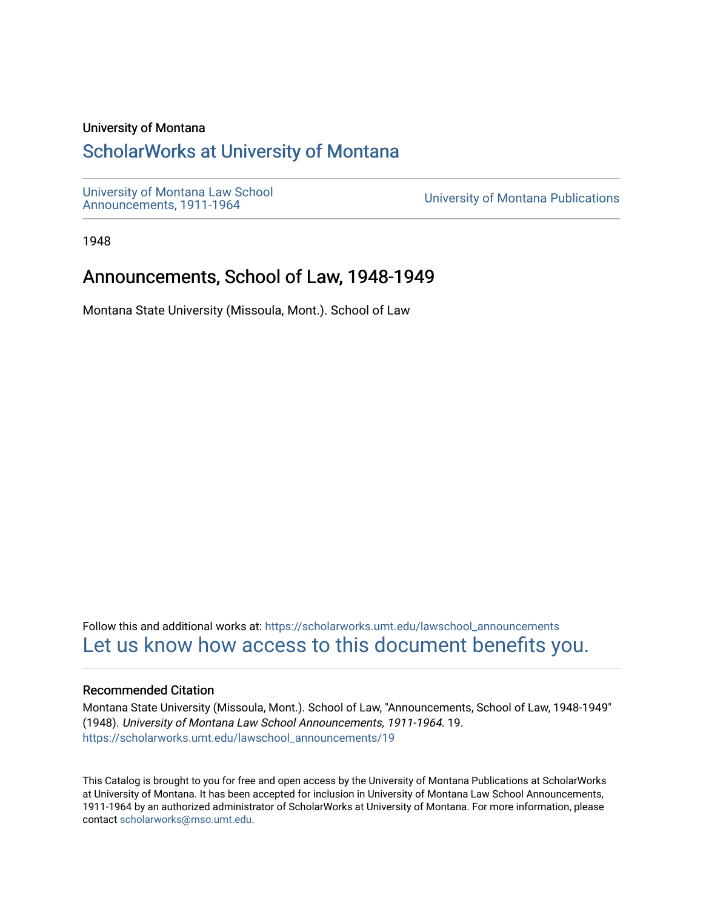### University of Montana

## [ScholarWorks at University of Montana](https://scholarworks.umt.edu/)

[University of Montana Law School](https://scholarworks.umt.edu/lawschool_announcements)<br>Announcements, 1911-1964

**University of Montana Publications** 

1948

## Announcements, School of Law, 1948-1949

Montana State University (Missoula, Mont.). School of Law

Follow this and additional works at: [https://scholarworks.umt.edu/lawschool\\_announcements](https://scholarworks.umt.edu/lawschool_announcements?utm_source=scholarworks.umt.edu%2Flawschool_announcements%2F19&utm_medium=PDF&utm_campaign=PDFCoverPages)  [Let us know how access to this document benefits you.](https://goo.gl/forms/s2rGfXOLzz71qgsB2) 

### Recommended Citation

Montana State University (Missoula, Mont.). School of Law, "Announcements, School of Law, 1948-1949" (1948). University of Montana Law School Announcements, 1911-1964. 19. [https://scholarworks.umt.edu/lawschool\\_announcements/19](https://scholarworks.umt.edu/lawschool_announcements/19?utm_source=scholarworks.umt.edu%2Flawschool_announcements%2F19&utm_medium=PDF&utm_campaign=PDFCoverPages)

This Catalog is brought to you for free and open access by the University of Montana Publications at ScholarWorks at University of Montana. It has been accepted for inclusion in University of Montana Law School Announcements, 1911-1964 by an authorized administrator of ScholarWorks at University of Montana. For more information, please contact [scholarworks@mso.umt.edu](mailto:scholarworks@mso.umt.edu).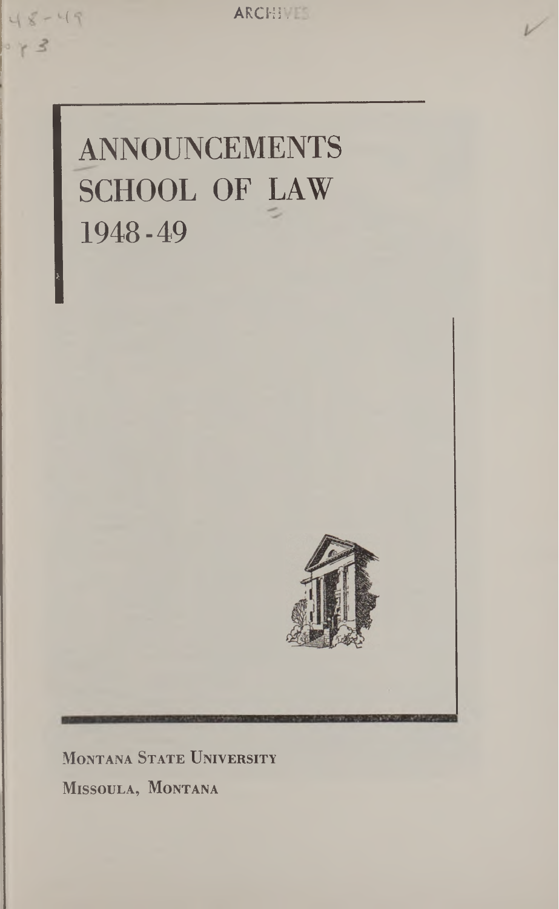**ANNOUNCEMENTS SCHOOL OF LAW** 1948-49

48-49

 $0 \times 3$ 



MONTANA STATE UNIVERSITY MISSOULA, MONTANA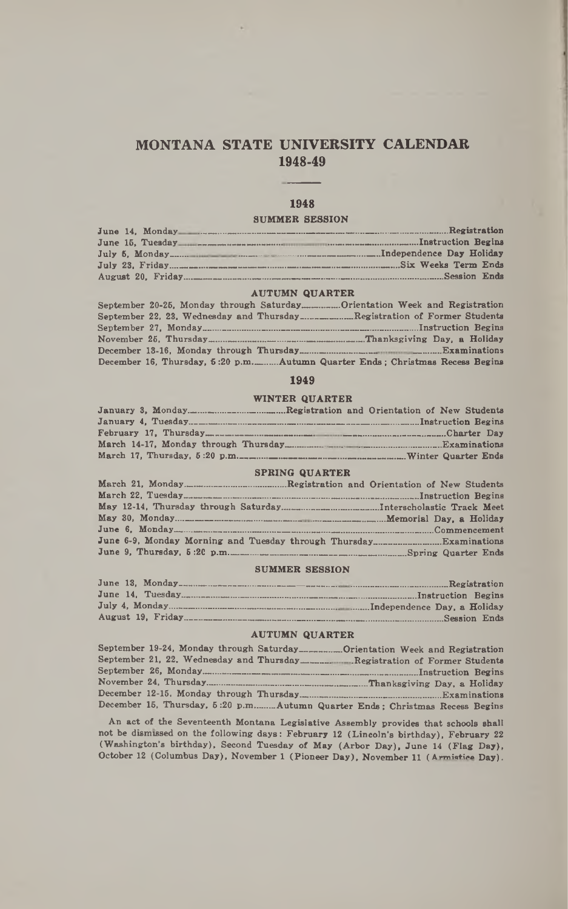## **MONTANA STATE UNIVERSITY CALENDAR 1948-49**

#### **1948**

#### SUMMER SESSION

| ,,,,,,,,                                                                  |  |
|---------------------------------------------------------------------------|--|
| <b>SUMMER SESSION</b>                                                     |  |
| June 14. Monday Montered and Manual Communication and Manual Registration |  |
| June 15. Tuesday <b>Example 2018</b> June 15. The Begins                  |  |
|                                                                           |  |
|                                                                           |  |
|                                                                           |  |

#### AUTUMN QUARTER

| September 20-25. Monday through SaturdayOrientation Week and Registration     |  |  |
|-------------------------------------------------------------------------------|--|--|
| September 22, 23, Wednesday and ThursdayRegistration of Former Students       |  |  |
|                                                                               |  |  |
|                                                                               |  |  |
|                                                                               |  |  |
| December 16. Thursday, 5:20 p.m. Autumn Quarter Ends: Christmas Recess Begins |  |  |

#### **1949**

#### WINTER QUARTER

|  | March 17, Thursday, 5:20 p.m. _________________________________Winter Quarter Ends |  |  |
|--|------------------------------------------------------------------------------------|--|--|

#### SPRING QUARTER

| <b>SPRING QUARTER</b> |  |
|-----------------------|--|
|                       |  |
|                       |  |
|                       |  |
|                       |  |
|                       |  |
|                       |  |
|                       |  |

#### SUMMER SESSION

| a much al wannonali a una herrestama muchi mesungan sermana muchi mengan melangkan seringa mengalih titik Afrik Afrik Titik |  |
|-----------------------------------------------------------------------------------------------------------------------------|--|
| <b>SUMMER SESSION</b>                                                                                                       |  |
| June 13, Monday-compared the contract of the contract of the Registration                                                   |  |
|                                                                                                                             |  |
|                                                                                                                             |  |
|                                                                                                                             |  |

#### AUTUMN QUARTER

| September 19-24, Monday through SaturdayOrientation Week and Registration            |  |  |  |
|--------------------------------------------------------------------------------------|--|--|--|
| September 21, 22. Wednesday and Thursday ___________Registration of Former Students. |  |  |  |
|                                                                                      |  |  |  |
|                                                                                      |  |  |  |
|                                                                                      |  |  |  |
| December 15, Thursday, 5:20 p.mAutumn Quarter Ends; Christmas Recess Begins          |  |  |  |

An act of the Seventeenth Montana Legislative Assembly provides that schools shall not be dismissed on the following days: February 12 (Lincoln's birthday), February 22 (Washington's birthday), Second Tuesday of May (Arbor Day), June 14 (Flag Day), October <sup>12</sup> (Columbus Day), November <sup>1</sup> (Pioneer Day), November <sup>11</sup> (Armiatico Day).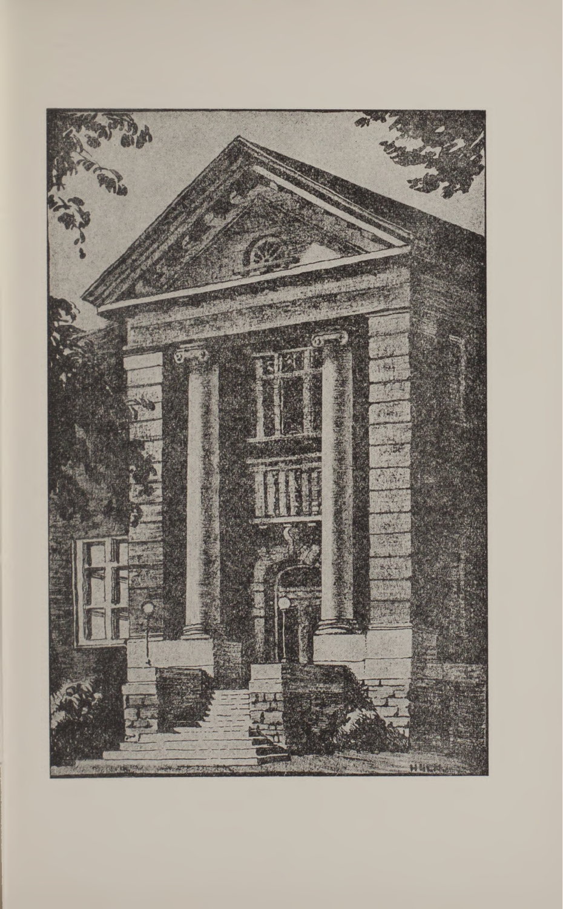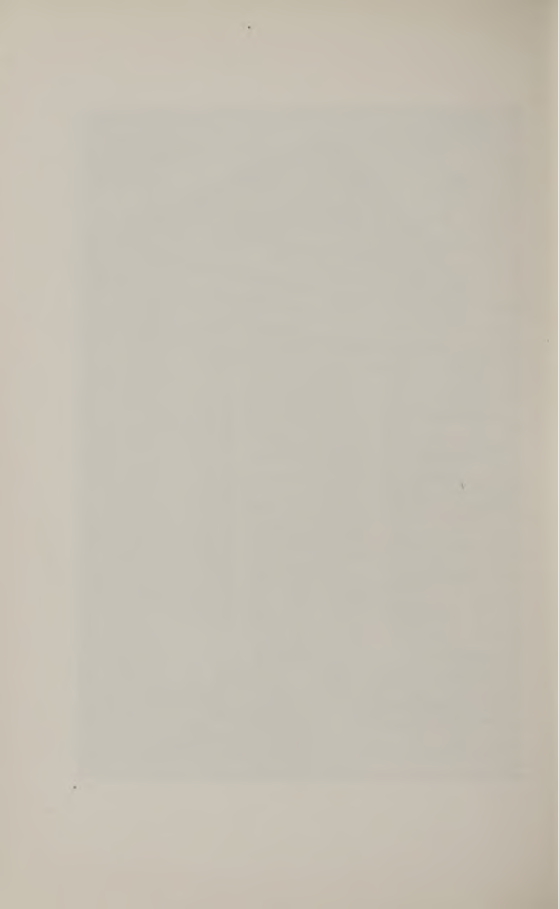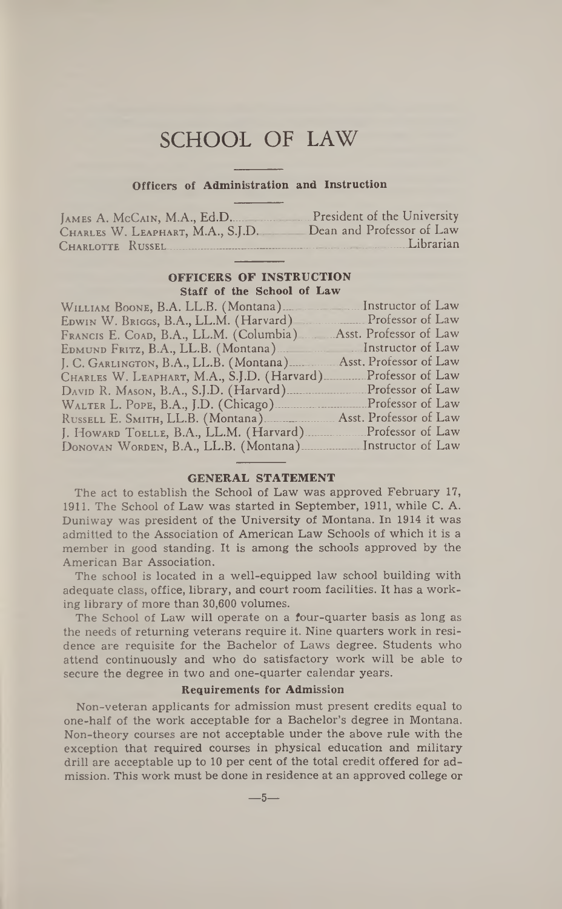# **SCHOOL OF LAW**

#### Officers of Administration and Instruction

| JAMES A. McCAIN, M.A., Ed.D.      | President of the University |
|-----------------------------------|-----------------------------|
| CHARLES W. LEAPHART, M.A., S.J.D. | Dean and Professor of Law   |
| CHARLOTTE RUSSEL                  | Librarian                   |

#### OFFICERS OF INSTRUCTION Staff of the School of Law

| WILLIAM BOONE, B.A. LL.B. (Montana)         | Instructor of Law      |
|---------------------------------------------|------------------------|
| EDWIN W. BRIGGS, B.A., LL.M. (Harvard)      | Professor of Law       |
| FRANCIS E. COAD, B.A., LL.M. (Columbia)     | Asst. Professor of Law |
| EDMUND FRITZ, B.A., LL.B. (Montana)         | Instructor of Law      |
| J. C. GARLINGTON, B.A., LL.B. (Montana)     | Asst. Professor of Law |
| CHARLES W. LEAPHART, M.A., S.J.D. (Harvard) | Professor of Law       |
| DAVID R. MASON, B.A., S.J.D. (Harvard).     | Professor of Law       |
| WALTER L. POPE, B.A., J.D. (Chicago)        | Professor of Law       |
| RUSSELL E. SMITH, LL.B. (Montana)           | Asst. Professor of Law |
| J. HOWARD TOELLE, B.A., LL.M. (Harvard)     | Professor of Law       |
| DONOVAN WORDEN, B.A., LL.B. (Montana)       | Instructor of Law      |

#### **GENERAL STATEMENT**

The act to establish the School of Law was approved February 17, 1911. The School of Law was started in September, 1911, while C. A. Duniway was president of the University of Montana. In 1914 it was admitted to the Association of American Law Schools of which it is a member in good standing. It is among the schools approved by the American Bar Association.

The school is located in a well-equipped law school building with adequate class, office, library, and court room facilities. It has a working library of more than 30,600 volumes.

The School of Law will operate on a four-quarter basis as long as the needs of returning veterans require it. Nine quarters work in residence are requisite for the Bachelor of Laws degree. Students who attend continuously and who do satisfactory work will be able to secure the degree in two and one-quarter calendar years.

#### **Requirements for Admission**

Non-veteran applicants for admission must present credits equal to one-half of the work acceptable for a Bachelor's degree in Montana. Non-theory courses are not acceptable under the above rule with the exception that required courses in physical education and military drill are acceptable up to 10 per cent of the total credit offered for admission. This work must be done in residence at an approved college or

 $-5-$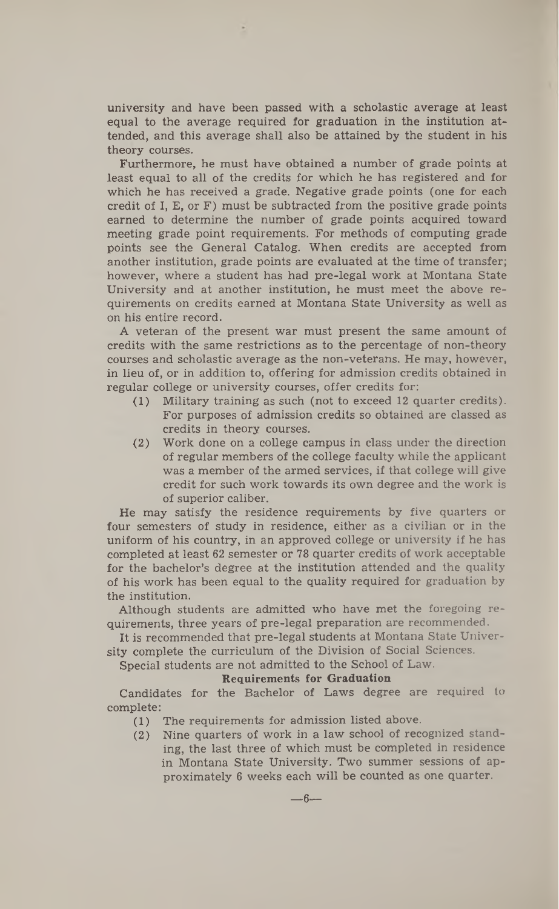university and have been passed with a scholastic average at least equal to the average required for graduation in the institution attended, and this average shall also be attained by the student in his theory courses.

Furthermore, he must have obtained a number of grade points at least equal to all of the credits for which he has registered and for which he has received a grade. Negative grade points (one for each credit of I, E, or F) must be subtracted from the positive grade points earned to determine the number of grade points acquired toward meeting grade point requirements. For methods of computing grade points see the General Catalog. When credits are accepted from another institution, grade points are evaluated at the time of transfer; however, where a student has had pre-legal work at Montana State University and at another institution, he must meet the above requirements on credits earned at Montana State University as well as on his entire record.

A veteran of the present war must present the same amount of credits with the same restrictions as to the percentage of non-theory courses and scholastic average as the non-veterans. He may, however, in lieu of, or in addition to, offering for admission credits obtained in regular college or university courses, offer credits for:

- (1) Military training as such (not to exceed 12 quarter credits). For purposes of admission credits so obtained are classed as credits in theory courses.
- (2) Work done on a college campus in class under the direction of regular members of the college faculty while the applicant was a member of the armed services, if that college will give credit for such work towards its own degree and the work is of superior caliber.

He may satisfy the residence requirements by five quarters or four semesters of study in residence, either as a civilian or in the uniform of his country, in an approved college or university if he has completed at least 62 semester or 78 quarter credits of work acceptable for the bachelor's degree at the institution attended and the quality of his work has been equal to the quality required for graduation by the institution.

Although students are admitted who have met the foregoing requirements, three years of pre-legal preparation are recommended.

It is recommended that pre-legal students at Montana State University complete the curriculum of the Division of Social Sciences.

Special students are not admitted to the School of Law.

#### **Requirements for Graduation**

Candidates for the Bachelor of Laws degree are required to complete:

- (1) The requirements for admission listed above.
- (2) Nine quarters of work in a law school of recognized standing, the last three of which must be completed in residence in Montana State University. Two summer sessions of approximately 6 weeks each will be counted as one quarter.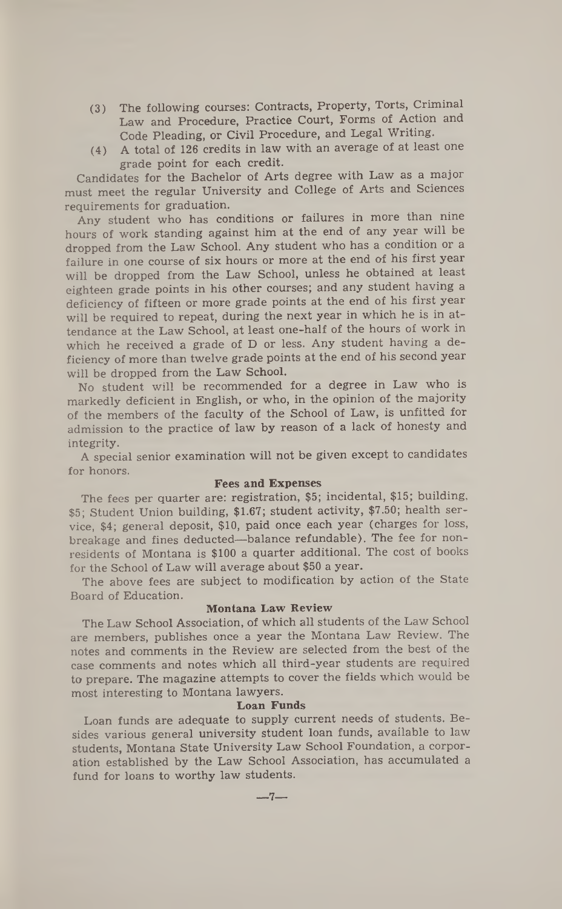- (3) The following courses: Contracts, Property, Torts, Criminal Law and Procedure, Practice Court, Forms of Action and Code Pleading, or Civil Procedure, and Legal Writing.
- (4) A total of 126 credits in law with an average of at least one grade point for each credit.

Candidates for the Bachelor of Arts degree with Law as a major must meet the regular University and College of Arts and Sciences requirements for graduation.

Any student who has conditions or failures in more than nine hours of work standing against him at the end of any year will be dropped from the Law School. Any student who has a condition or a failure in one course of six hours or more at the end of his first year will be dropped from the Law School, unless he obtained at least eighteen grade points in his other courses; and any student having a deficiency of fifteen or more grade points at the end of his first year will be required to repeat, during the next year in which he is in attendance at the Law School, at least one-half of the hours of work in which he received a grade of D or less. Any student having a deficiency of more than twelve grade points at the end of his second year will be dropped from the Law School.

No student will be recommended for a degree in Law who is markedly deficient in English, or who, in the opinion of the majority of the members of the faculty of the School of Law, is unfitted for admission to the practice of law by reason of a lack of honesty and integrity.

A special senior examination will not be given except to candidates for honors.

#### **Fees and Expenses**

The fees per quarter are: registration, \$5; incidental, \$15; building, \$5; Student Union building, \$1.67; student activity, \$7.50; health service, \$4; general deposit, \$10, paid once each year (charges for loss, breakage and fines deducted—balance refundable). The fee for nonresidents of Montana is \$100 a quarter additional. The cost of books for the School of Law will average about \$50 a year.

The above fees are subject to modification by action of the State Board of Education.

#### **Montana Law Review**

The Law School Association, of which all students of the Law School are members, publishes once a year the Montana Law Review. The notes and comments in the Review are selected from the best of the case comments and notes which all third-year students are required to prepare. The magazine attempts to cover the fields which would be most interesting to Montana lawyers.

#### **Loan Funds**

Loan funds are adequate to supply current needs of students. Besides various general university student loan funds, available to law students, Montana State University Law School Foundation, a corporation established by the Law School Association, has accumulated a fund for loans to worthy law students.

 $-7-$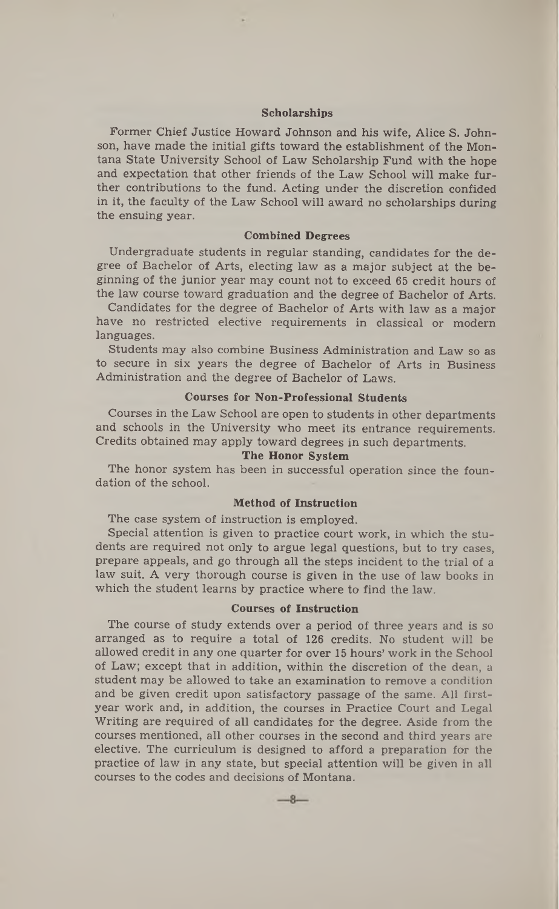#### **Scholarships**

Former Chief Justice Howard Johnson and his wife, Alice S. Johnson, have made the initial gifts toward the establishment of the Montana State University School of Law Scholarship Fund with the hope and expectation that other friends of the Law School will make further contributions to the fund. Acting under the discretion confided in it, the faculty of the Law School will award no scholarships during the ensuing year.

#### **Combined Degrees**

Undergraduate students in regular standing, candidates for the degree of Bachelor of Arts, electing law as a major subject at the beginning of the junior year may count not to exceed 65 credit hours of the law course toward graduation and the degree of Bachelor of Arts.

Candidates for the degree of Bachelor of Arts with law as a major have no restricted elective requirements in classical or modern languages.

Students may also combine Business Administration and Law so as to secure in six years the degree of Bachelor of Arts in Business Administration and the degree of Bachelor of Laws.

#### **Courses for Non-Professional Students**

Courses in the Law School are open to students in other departments and schools in the University who meet its entrance requirements. Credits obtained may apply toward degrees in such departments.

#### **The Honor System**

The honor system has been in successful operation since the foundation of the school.

#### **Method of Instruction**

The case system of instruction is employed.

Special attention is given to practice court work, in which the students are required not only to argue legal questions, but to try cases, prepare appeals, and go through all the steps incident to the trial of a law suit. A very thorough course is given in the use of law books in which the student learns by practice where to find the law.

#### **Courses of Instruction**

The course of study extends over a period of three years and is so arranged as to require a total of 126 credits. No student will be allowed credit in any one quarter for over 15 hours' work in the School of Law; except that in addition, within the discretion of the dean, a student may be allowed to take an examination to remove a condition and be given credit upon satisfactory passage of the same. All firstyear work and, in addition, the courses in Practice Court and Legal Writing are required of all candidates for the degree. Aside from the courses mentioned, all other courses in the second and third years are elective. The curriculum is designed to afford a preparation for the practice of law in any state, but special attention will be given in all courses to the codes and decisions of Montana.

 $-8-$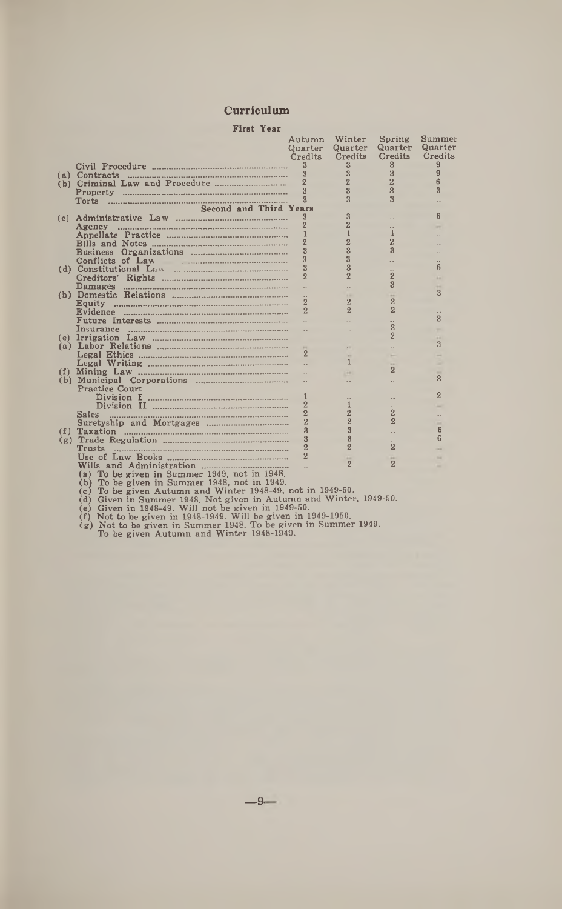#### **Curriculum**

#### **First Year**

|                             | Curriculum                                                                                                                   |                     |                |                |                |
|-----------------------------|------------------------------------------------------------------------------------------------------------------------------|---------------------|----------------|----------------|----------------|
|                             | <b>First Year</b>                                                                                                            |                     |                |                |                |
|                             |                                                                                                                              | Autumn              | Winter         | Spring         | Summer         |
|                             |                                                                                                                              | Quarter             | Quarter        | Quarter        | Quarter        |
|                             |                                                                                                                              | Credits             | Credits        | Credits        | Credits        |
|                             |                                                                                                                              | $\mathbf{3}$        | 3<br>3         | 3<br>3         | 9<br>9         |
|                             | (a) Contracts                                                                                                                | 3<br>$\overline{2}$ | $\overline{2}$ | $\overline{2}$ | 6              |
|                             |                                                                                                                              | 3                   | 3              | 3              | 3              |
|                             | Property                                                                                                                     | 3                   | 3              | 3              |                |
|                             | Torts<br>Second and Third Years                                                                                              |                     |                |                |                |
|                             | (c) Administrative Law                                                                                                       | 3                   | 3              |                | 6              |
|                             | Agency                                                                                                                       | $\overline{2}$      | $\overline{2}$ |                |                |
|                             |                                                                                                                              | 1                   | 1              | 1              |                |
|                             |                                                                                                                              | $\mathcal{P}$       | $\overline{2}$ | $\overline{2}$ |                |
|                             |                                                                                                                              | 3                   | 3              | 3              |                |
|                             | Conflicts of Law                                                                                                             | 3                   | 3              |                |                |
|                             | (d) Constitutional Law                                                                                                       | $\mathbf{R}$        | 3              |                | 6              |
|                             |                                                                                                                              | $\overline{2}$      | $\overline{2}$ | $\overline{2}$ |                |
|                             | Damages                                                                                                                      |                     |                | 3              |                |
|                             |                                                                                                                              |                     |                |                | $\overline{3}$ |
|                             | Equity                                                                                                                       | $\overline{2}$      | $\overline{2}$ | $\overline{2}$ | L.             |
|                             | Evidence                                                                                                                     |                     | $\overline{2}$ | $\overline{2}$ | ÷.             |
|                             |                                                                                                                              |                     |                | 3              | 3              |
|                             |                                                                                                                              |                     |                | $\overline{2}$ |                |
|                             |                                                                                                                              |                     |                |                | 3              |
|                             |                                                                                                                              | $\overline{2}$      |                |                |                |
|                             |                                                                                                                              |                     | 1              |                |                |
|                             |                                                                                                                              |                     |                | $\overline{2}$ |                |
|                             |                                                                                                                              |                     |                |                | 3              |
|                             | <b>Practice Court</b>                                                                                                        |                     |                |                |                |
|                             |                                                                                                                              | 1                   |                |                | $\overline{2}$ |
|                             |                                                                                                                              | $\overline{2}$      | 1              |                |                |
|                             | Sales                                                                                                                        | $\overline{2}$      | $\overline{2}$ | $\overline{2}$ |                |
|                             |                                                                                                                              | $\overline{2}$      | $\overline{2}$ | $\overline{2}$ |                |
| (f)                         | Taxation                                                                                                                     | 3                   | $\overline{3}$ |                | 6              |
| $\left( \mathbf{g} \right)$ |                                                                                                                              | $\mathbf{R}$        | $\overline{3}$ |                | 6              |
|                             | Trusts                                                                                                                       | $\overline{2}$      | $\overline{2}$ | $\overline{2}$ |                |
|                             |                                                                                                                              | $\overline{2}$      |                |                |                |
|                             |                                                                                                                              |                     | $\overline{2}$ | $\overline{2}$ |                |
|                             | To be given in Summer 1949, not in 1948.<br>(a)                                                                              |                     |                |                |                |
|                             | To be given in Summer 1948, not in 1949.<br>(b)                                                                              |                     |                |                |                |
|                             | To be given Autumn and Winter 1948-49, not in 1949-50.<br>(c)                                                                |                     |                |                |                |
|                             | Given in Summer 1948. Not given in Autumn and Winter, 1949-50.<br>(d).                                                       |                     |                |                |                |
|                             | Given in 1948-49. Will not be given in 1949-50.<br>(e)                                                                       |                     |                |                |                |
|                             | (f) Not to be given in 1948-1949. Will be given in 1949-1950.<br>Not to be given in Summer 1948. To be given in Summer 1949. |                     |                |                |                |
|                             | (g)<br>To be given Autumn and Winter 1948-1949.                                                                              |                     |                |                |                |
|                             |                                                                                                                              |                     |                |                |                |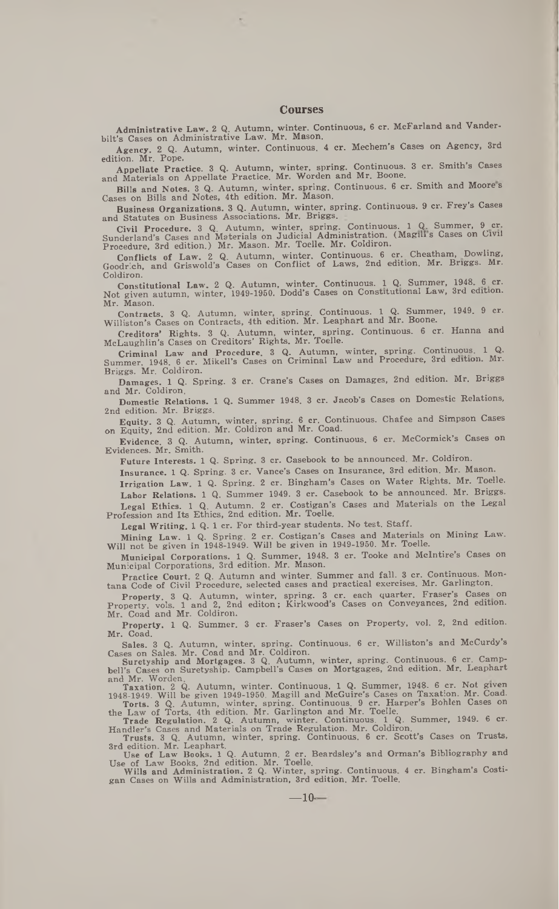#### **Courses**

Administrative Law. 2 Q. Autumn, winter. Continuous, 6 cr. McFarland and Vander-bilt's Cases on Administrative Law. Mr. Mason.

Agency. 2 Q. Autumn, winter. Continuous. 4 cr. Mechem's Cases on Agency, 3rd edition. Mr. Pope. The contract of the contract of the contract of the contract of the contract of the contract of the contract of the contract of the contract of the contract of the contract of the contract of the contrac

Appellate Practice. 3 Q. Autumn, winter, spring. Continuous. 3 cr. Smith's Cases and Materials on Appellate Practice. Mr. Worden and Mr. Boone.

Bills and Notes. 3 Q. Autumn, winter, spring. Continuous. 6 cr. Smith and Moore s Cases on Bills and Notes, 4th edition. Mr. Mason.

Business Organizations. 3 Q. Autumn, winter, spring. Continuous. 9 cr. Frey's Cases and Statutes on Business Associations. Mr. Briggs.

Civil Procedure. 3 Q. Autumn, winter, spring. Continuous. 1 Q. Summer, 9 cr. Sunderland's Cases and Materials on Judicial Administration. (Magill s Cases on Civil Procedure, 3rd edition.) Mr. Mason. Mr. Toelle. Mr. Coldiron.

Conflicts of Law. 2 Q. Autumn, winter. Continuous. 6 cr. Cheatham, Dowling, Goodrich, and Griswold's Cases on Conflict of Laws, 2nd edition. Mr. Briggs. Mr. Coldiron.

Constitutional Law. 2 Q. Autumn, winter. Continuous. 1 Q. Summer, 1948. 6 cr. Not given autumn, winter, 1949-1950. Dodd's Cases on Constitutional Law, 3rd edition. Mr. Mason.

Contracts. 3 Q. Autumn, winter, spring. Continuous. 1 Q. Summer, 1949. 9 cr. Williston's Cases on Contracts, 4th edition. Mr. Leaphart and Mr. Boone.

Creditors' Rights. 3 Q. Autumn, winter, spring. Continuous. 6 cr. Hanna and McLaughlin's Cases on Creditors' Rights. Mr. Toelle.

Criminal Law and Procedure. 3 Q. Autumn, winter, spring. Continuous. 1 Q. Summer, 1948. 6 cr. Mikell's Cases on Criminal Law and Procedure, 3rd edition. Mr. Summer, 1948. 6 cr. .<br>Briggs. Mr. Coldiron.

Damages. 1 Q. Spring. 3 cr. Crane's Cases on Damages, 2nd edition. Mr. Briggs and Mr. Coldiron.

Domestic Relations. 1 Q. Summer 1948. 3 cr. Jacob's Cases on Domestic Relations, 2nd edition. Mr. Briggs.

Equity. 3 Q. Autumn, winter, spring. 6 cr. Continuous. Chafee and Simpson Cases on Equity, 2nd edition. Mr. Coldiron and Mr. Coad.

Evidence. 3 Q. Autumn, winter, spring. Continuous. 6 cr. McCormick's Cases on Evidences. Mr. Smith.

Future Interests. <sup>1</sup> Q. Spring. 3 cr. Casebook to be announced. Mr. Coldiron.

Insurance. 1 Q. Spring. 3 cr. Vance's Cases on Insurance, 3rd edition. Mr. Mason.

Irrigation Law. 1 Q. Spring. 2 cr. Bingham's Cases on Water Rights. Mr. Toelle.

Labor Relations. 1 Q. Summer 1949. <sup>3</sup> cr. Casebook to be announced. Mr. Briggs. Legal Ethics. <sup>1</sup> Q. Autumn. 2 cr. Costigan's Cases and Materials on the Legal Profession and Its Ethics, 2nd edition. Mr. Toelle.

Legal Writing. 1 Q. 1 cr. For third-year students. No test. Staff.

Mining Law. 1 Q. Spring. 2 cr. Costigan's Cases and Materials on Mining Law. Will not be given in 1948-1949. Will be given in 1949-1950. Mr. Toelle.

Municipal Corporations. 1 Q. Summer, 1948. 3 cr. Tooke and McIntire's Cases on Municipal Corporations, 3rd edition. Mr. Mason.

Practice Court. 2 Q. Autumn and winter. Summer and fall. 3 cr. Continuous. Mon-tana Code of Civil Procedure, selected cases and practical exercises. Mr. Garlington.

Property. 3 Q. Autumn, winter, spring. 3 cr. each quarter. Fraser's Cases on Property, vols. <sup>1</sup> and 2, 2nd editon; Kirkwood's Cases on Conveyances, 2nd edition. Property, vols. 1 and 2, 2no<br>Mr. Coad and Mr. Coldiron.

Property. 1 Q. Summer. 3 cr. Fraser's Cases on Property, vol. 2, 2nd edition. Mr. Goad.

Sales. 3 Q. Autumn, winter, spring. Continuous. 6 cr. Williston's and McCurdy's<br>Cases on Sales. Mr. Coad and Mr. Coldiron.<br>Suretyship and Mortgages. 3 Q. Autumn, winter, spring. Continuous. 6 cr. Camp-<br>bell's Cases on Sure

and Mr. Worden.<br>
Taxation. 2 Q. Autumn, winter. Continuous. 1 Q. Summer, 1948. 6 cr. Not given<br>
1948-1949. Will be given 1949-1950 Magill and McGuire's Cases on Taxation. Mr. Coad.<br>
Torts. 3 Q. Autumn, winter, spring. Cont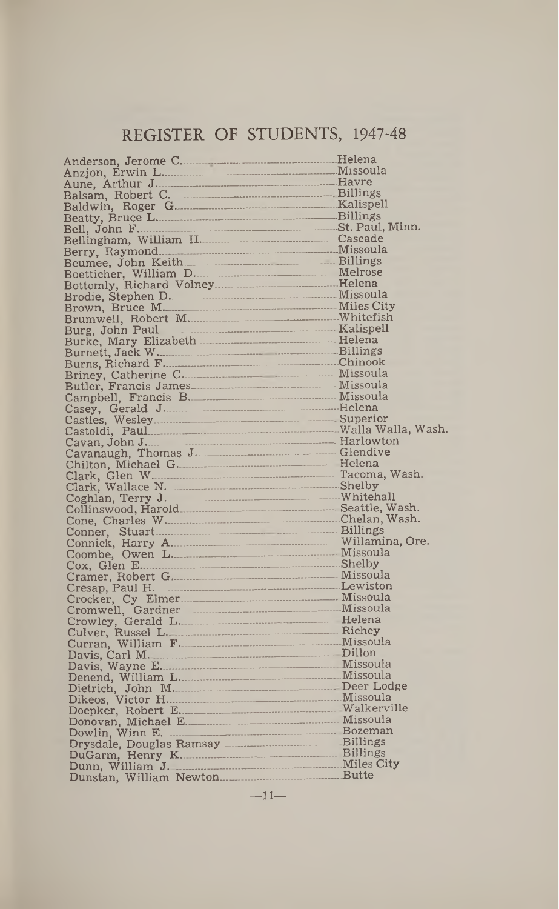# REGISTER OF STUDENTS, 1947-48

| Baldwin, Roger G. Kalispell                                                     |  |
|---------------------------------------------------------------------------------|--|
| Beatty, Bruce L. Martin Billings                                                |  |
| Bell, John F. St. Paul, Minn.<br>Bellingham, William H. Cascade Cascade         |  |
|                                                                                 |  |
|                                                                                 |  |
|                                                                                 |  |
|                                                                                 |  |
| Bottomly, Richard Volney                                                        |  |
| Brodie, Stephen D. Missoula                                                     |  |
|                                                                                 |  |
| Brumwell, Robert M. Martin M. Whitefish                                         |  |
|                                                                                 |  |
|                                                                                 |  |
| Burke, Mary Elizabeth                                                           |  |
| Burnett, Jack W. Sillings                                                       |  |
|                                                                                 |  |
| Briney, Catherine C. Missoula                                                   |  |
|                                                                                 |  |
| Campbell, Francis B. Sandwich and Missoula                                      |  |
|                                                                                 |  |
|                                                                                 |  |
|                                                                                 |  |
|                                                                                 |  |
| Cavanaugh, Thomas J. 2006                                                       |  |
|                                                                                 |  |
| Clark, Glen W. Clark and Tacoma, Wash.                                          |  |
| Clark, Wallace N. Shelby                                                        |  |
|                                                                                 |  |
|                                                                                 |  |
| Cone, Charles W. Cone, Chelan, Wash.                                            |  |
| Conner, Stuart                                                                  |  |
| Connick, Harry A. Connick, Harry A.                                             |  |
| Coombe, Owen L. Missoula                                                        |  |
| Cox, Glen E. Shelby                                                             |  |
| Cramer, Robert G. Missoula<br>Cresap, Paul H. Missoula Cresap, Paul H. Missoula |  |
|                                                                                 |  |
| Crocker, Cy Elmer                                                               |  |
| Cromwell, Gardner<br>Crowley, Gerald L. Helena Helena                           |  |
|                                                                                 |  |
| Culver, Russel L. Richey                                                        |  |
| Curran, William F. F. 2004 - Missoula                                           |  |
| Davis, Carl M. M. Martin Martin Martin Dillon                                   |  |
|                                                                                 |  |
| Denend, William L. Missoula                                                     |  |
| Dietrich, John M. Charles Deer Lodge                                            |  |
| Dikeos, Victor H. Chambread Missoula                                            |  |
| Doepker, Robert E. Superior and Malkerville                                     |  |
| Donovan, Michael E. _______________________________ Missoula                    |  |
|                                                                                 |  |
|                                                                                 |  |
| DuGarm, Henry K. Martin March 2011                                              |  |
| Dunn, William J. Miles City                                                     |  |
|                                                                                 |  |

 $-11-$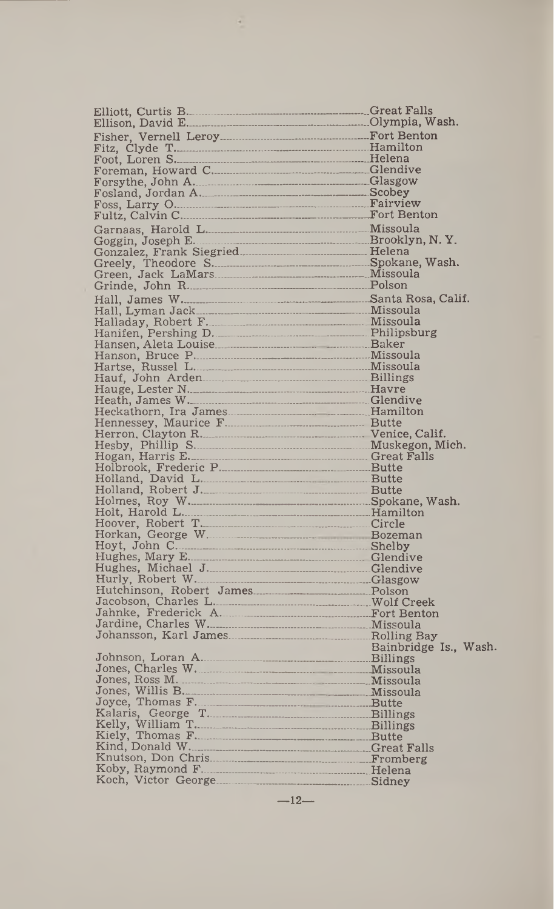Elliott, Curtis B. Ellison, David E\_\_\_\_\_\_\_\_ :\_\_\_\_\_\_\_\_\_\_\_\_\_\_\_\_\_\_\_\_Olympia, Wash. Fisher, Vernell Leroy\_\_\_\_\_\_\_\_\_\_\_\_\_\_\_\_\_\_\_\_\_\_ FortBenton Fitz, Clyde T. Foot, Loren S. Foreman, Howard C\_\_\_\_\_\_\_\_\_\_\_\_\_\_\_\_\_\_\_\_\_\_\_ Glendive Forsythe, John A.\_\_\_\_\_\_\_\_\_\_\_\_\_\_\_\_\_\_\_\_\_\_\_\_\_\_ Glasgow Fosland, Jordan A\_\_\_\_\_\_\_\_\_\_\_\_\_\_\_\_\_\_\_\_\_\_\_\_\_ Scobey Foss, Larry O.\_\_\_\_\_\_\_\_\_\_\_\_\_\_\_\_\_\_\_\_\_\_\_\_\_\_\_\_\_ Fairview Fultz, Calvin C\_\_\_\_\_\_\_\_\_\_\_\_\_\_\_\_\_\_\_\_\_\_\_\_\_ ,\_\_\_ FortBenton Garnaas, Harold L\_\_\_\_\_\_\_\_\_\_\_\_\_\_\_ .-------------- Missoula Goggin, Joseph E---------------------------------------- Brooklyn, N. Y. Gonzalez, Frank Siegried----------------------------- Helena Greely, Theodore S. 2008 . 2008 . Spokane, Wash. Green, Jack LaMars\_\_\_\_\_\_\_\_\_\_\_\_\_\_\_\_\_\_\_\_\_\_\_ .Missoula Grinde, John R\_\_\_\_\_\_\_\_\_\_\_\_\_\_\_\_\_\_\_\_\_\_\_\_\_\_\_ Polson Hall, James W------------------------------- \_\_\_\_\_\_Santa Rosa, Calif. Hall, Lyman Jack\_\_\_\_\_\_\_\_\_\_\_\_\_\_\_\_\_\_\_\_\_\_\_\_\_\_ Halladay, Robert F. Hanifen, Pershing D. Hansen, Aleta Louise\_\_\_\_\_\_\_\_\_\_\_\_\_\_\_ Hanson, Bruce P\_\_\_\_\_\_\_\_\_\_\_\_\_\_\_\_\_\_\_ \_\_\_\_\_\_ Missoula Hartse, Russel L\_\_\_\_\_\_\_\_\_\_\_\_\_\_\_\_\_\_\_ \_\_\_\_\_\_ .Missoula Hauf, John Arden\_\_\_\_\_\_\_\_\_\_\_\_\_\_\_\_\_ Hauge, Lester N\_\_\_\_\_\_\_\_\_\_\_\_\_\_\_\_\_\_\_\_ Heath, James W.<br>Heckathorn, Ira James Hennessey, Maurice F\_\_\_\_\_\_\_\_\_\_\_\_\_\_ Herron, Clayton R. Hesby, Phillip S\_\_\_\_\_\_\_\_\_\_\_\_\_\_\_\_\_\_\_ Hogan, Harris E.\_\_\_\_\_\_\_\_\_\_\_\_\_\_\_\_\_\_\_\_\_\_\_\_\_\_\_ Holbrook, Frederic P.\_\_\_\_\_\_\_\_\_\_\_ \_\_\_ Holland, David L.<br>Holland, Robert J.\_\_\_\_\_\_\_\_\_\_\_\_\_\_\_\_\_\_\_\_\_\_ Holmes, Roy W.<br>Holt, Harold L. Hoover, Robert T.\_\_\_\_\_\_\_\_\_\_\_\_\_\_\_\_\_ Horkan, George W. Hoyt, John C. Hughes, Mary E\_\_\_\_\_\_\_\_\_\_\_\_\_\_\_\_\_\_\_\_ Hughes, Michael J\_\_\_\_\_\_\_\_\_\_\_\_\_\_\_\_\_ Hurly, Robert W\_\_\_\_\_\_\_\_\_\_\_\_\_\_\_\_\_\_ Hutchinson, Robert James\_\_\_\_\_\_\_\_\_ Jacobson, Charles L\_\_\_\_\_\_\_\_\_\_\_\_\_\_\_\_ Jahnke, Frederick A. Jardine, Charles W\_\_\_\_\_\_\_\_\_\_\_\_\_\_\_\_\_ Johansson, Karl James\_\_\_\_\_\_\_\_\_\_\_\_\_ Johnson, Loran A. Jones, Charles W.\_\_\_\_\_\_\_\_\_\_\_\_\_\_\_\_\_\_ Jones, Ross M\_\_\_\_\_\_\_\_\_\_\_\_\_\_\_\_\_\_\_\_\_ Jones, Willis B.\_\_\_\_\_\_\_\_\_\_\_\_\_\_\_\_\_\_\_\_ Joyce, Thomas F\_\_\_\_\_\_\_\_\_\_\_\_\_\_\_\_\_ Kalaris, George T. Kelly, William T. Kiely, Thomas F.\_\_\_\_\_\_\_\_\_\_\_\_\_\_\_\_\_\_ Kind, Donald W. Knutson, Don Chris<br>Koby, Raymond F Koch, Victor George\_\_\_\_\_\_\_\_\_\_\_\_\_\_\_ \_\_\_\_\_\_ Missoula \_\_\_\_\_\_\_\_\_\_ Missoula \_\_\_\_\_\_ Philipsburg \_\_\_\_\_\_ Baker \_\_\_\_\_\_ Billings \_\_\_\_\_\_\_\_Havre \_\_\_\_\_\_ Glendive \_\_\_\_\_\_..Hamilton \_\_\_\_\_\_ Butte \_\_\_\_\_\_ .Venice, Calif. \_\_\_\_\_\_ Muskegon, Mich. \_\_\_\_\_\_ Great Falls \_\_\_\_ —Butte \_\_\_\_\_\_ Butte \_\_\_\_\_\_ Butte \_\_\_\_\_\_ .Spokane, Wash. \_\_\_\_\_\_ Hamilton \_\_\_\_\_\_ Circle Bozeman \_\_\_\_\_\_ Shelby \_\_\_\_\_\_ Glendive \_\_\_\_\_\_ Glendive \_\_\_\_\_\_\_Glasgow \_\_\_\_\_\_ .Polson \_\_\_\_\_\_\_\_\_\_Wolf Cr<mark>eek</mark><br>\_\_\_\_\_\_\_\_\_Fort Benton \_\_\_\_\_\_ Missoula \_\_\_\_\_\_ .Rolling Bay Frank Bainbridge Is., Wash.<br>Billings Bainbridge Is., Wash. \_\_\_\_\_\_\_Billings \_\_\_\_\_\_ Missoula \_\_\_\_\_\_\_\_\_\_\_\_\_Missoula \_\_\_\_\_\_\_\_\_\_\_\_\_Missoula \_\_\_\_\_\_\_Butte \_\_\_\_\_\_\_Billings \_\_\_\_\_\_\_\_\_\_Billings<br>\_\_\_\_\_\_\_\_\_\_\_\_\_\_\_Butte \_\_\_\_\_\_ Great Falls \_\_\_\_\_\_\_Fromberg \_\_\_\_\_\_ .Helena \_\_\_\_\_\_\_\_\_\_Sidney

 $-12-$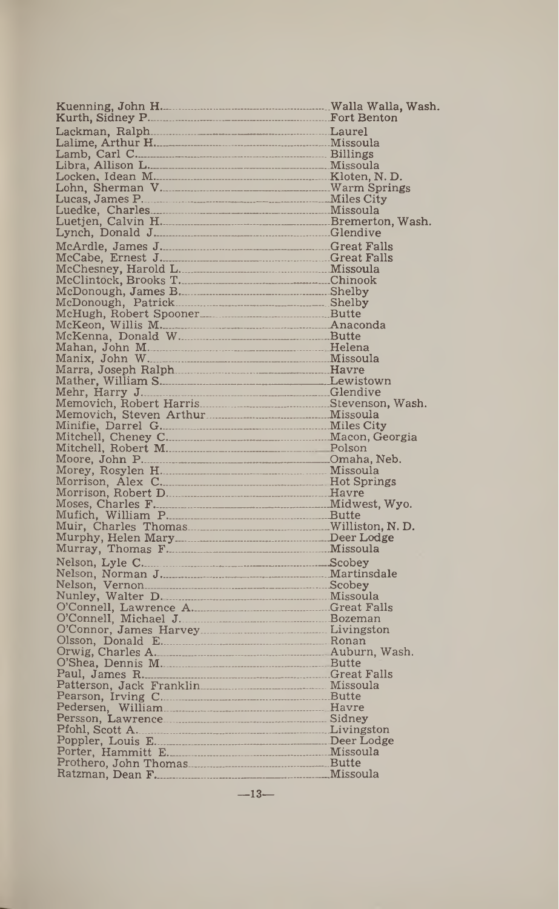| Lalime, Arthur H. Communication and Missoula                                                                     |  |
|------------------------------------------------------------------------------------------------------------------|--|
|                                                                                                                  |  |
|                                                                                                                  |  |
|                                                                                                                  |  |
| Lohn, Sherman V. The Marian Communication of the Springs                                                         |  |
|                                                                                                                  |  |
|                                                                                                                  |  |
| Luetjen, Calvin H. Manuel Martin Bremerton, Wash.                                                                |  |
|                                                                                                                  |  |
|                                                                                                                  |  |
|                                                                                                                  |  |
| McChesney, Harold L. _______________________________ Missoula                                                    |  |
|                                                                                                                  |  |
| McDonough, James B. [19] McDonough, James B.                                                                     |  |
|                                                                                                                  |  |
|                                                                                                                  |  |
| McKeon, Willis M. The Manual Anaconda                                                                            |  |
|                                                                                                                  |  |
| Mahan, John M. 1998. Mahan, John M.                                                                              |  |
| Manix, John W. 7. 2008. Missoula                                                                                 |  |
|                                                                                                                  |  |
| Mather, William S. 2008. [19] Mather, William S. 2008. [19] Mather, William S. 2014. [19] Mathematical Dewistown |  |
| Mehr, Harry J. Denomination and Clendive                                                                         |  |
|                                                                                                                  |  |
|                                                                                                                  |  |
| Minifie, Darrel G. Committee Committee City                                                                      |  |
| Mitchell, Cheney C. Contract Communication and Macon, Georgia                                                    |  |
|                                                                                                                  |  |
|                                                                                                                  |  |
|                                                                                                                  |  |
| Morrison, Alex C. C. C. Entertainment and Hot Springs                                                            |  |
|                                                                                                                  |  |
| Moses, Charles F. The Midwest, Wyo.                                                                              |  |
| Mufich, William P.                                                                                               |  |
|                                                                                                                  |  |
|                                                                                                                  |  |
| Murray, Thomas F. 7. 2006. The Missoula                                                                          |  |
|                                                                                                                  |  |
|                                                                                                                  |  |
|                                                                                                                  |  |
| Nelson, Vernon (1999)<br>Nunley, Walter D. (1999) Munley, Walter D. (1999) Munley, Walter D. (1999) Missoula     |  |
| O'Connell, Lawrence A. 2008  All Creat Falls                                                                     |  |
| O'Connell, Michael J. [19] Bozeman                                                                               |  |
|                                                                                                                  |  |
|                                                                                                                  |  |
| Orwig, Charles A. Committee A. Committee Auburn, Wash.                                                           |  |
|                                                                                                                  |  |
| Paul, James R. Communication of the Great Falls                                                                  |  |
| Patterson, Jack Franklin                                                                                         |  |
|                                                                                                                  |  |
| Pedersen, William                                                                                                |  |
|                                                                                                                  |  |
|                                                                                                                  |  |
| Poppler, Louis E. Communication of Deer Lodge                                                                    |  |
|                                                                                                                  |  |
|                                                                                                                  |  |
|                                                                                                                  |  |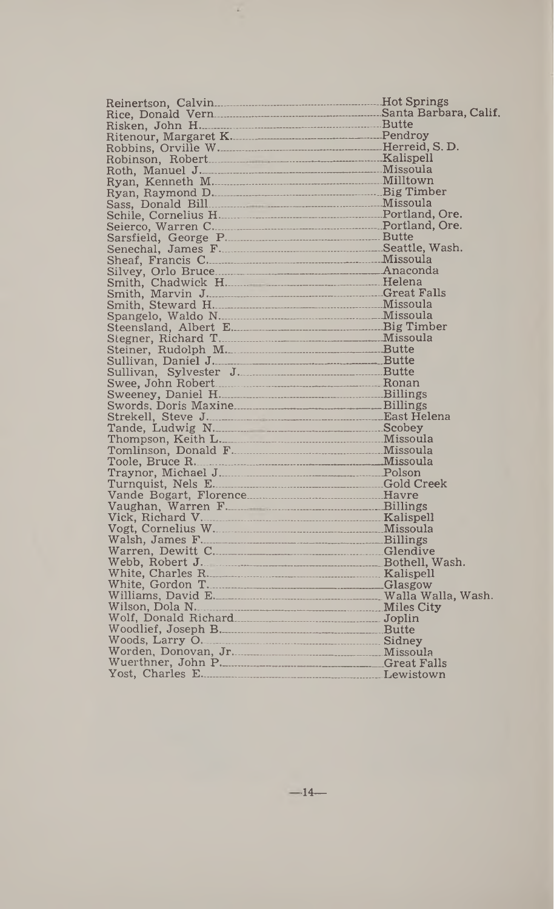| Rice, Donald Vern __________________________________Santa Barbara, Calif.                                      |  |
|----------------------------------------------------------------------------------------------------------------|--|
| Risken, John H. 2008. 2008. 2010. 2011                                                                         |  |
| Ritenour, Margaret K. The Manuscription of Pendroy                                                             |  |
| Robbins, Orville W. 5. 1994                                                                                    |  |
|                                                                                                                |  |
|                                                                                                                |  |
|                                                                                                                |  |
| Ryan, Kenneth M. Sandard Milltown                                                                              |  |
| Ryan, Raymond D. 2000 and Communications and Big Timber                                                        |  |
|                                                                                                                |  |
| Schile, Cornelius H. Cornelius H. Cornelius H. Cornelius H. Cornelius H. Cornelius H. Cornelius H. C. et al. ( |  |
| Seierco, Warren C. Contract Communication Portland, Ore.                                                       |  |
|                                                                                                                |  |
| Senechal, James F. 7. 2006. [1] Seattle, Wash.                                                                 |  |
|                                                                                                                |  |
|                                                                                                                |  |
| Smith, Chadwick H.                                                                                             |  |
| Smith, Marvin J. _________________________________Great Falls                                                  |  |
| Smith, Steward H. __________________________________Missoula                                                   |  |
| Spangelo, Waldo N. 7. 2008 . 2009 . 2010 . 2010 . 2010 . 2010 . 2010 . 2010 . 2010 . 2010 . 2010 . 2010 . 2010 |  |
|                                                                                                                |  |
|                                                                                                                |  |
|                                                                                                                |  |
|                                                                                                                |  |
| Sullivan, Sylvester J.                                                                                         |  |
|                                                                                                                |  |
|                                                                                                                |  |
|                                                                                                                |  |
|                                                                                                                |  |
|                                                                                                                |  |
|                                                                                                                |  |
| Tomlinson, Donald F. 1997. Missoula                                                                            |  |
| Toole, Bruce R. Missoula                                                                                       |  |
|                                                                                                                |  |
|                                                                                                                |  |
|                                                                                                                |  |
| Vaughan, Warren F. The Manuscripture of Billings                                                               |  |
| Vick, Richard V. Martin March 1998. [19] Kalispell                                                             |  |
| Vogt, Cornelius W. Cornelius W. Cornelius Wissoula                                                             |  |
| Walsh, James F. 2008. Entertainment of the Billings                                                            |  |
|                                                                                                                |  |
| Webb, Robert J. [10] Bothell, Wash.                                                                            |  |
|                                                                                                                |  |
| White, Charles R. Marian Marian Malispell                                                                      |  |
| White, Gordon T. The Contract of Clasgow                                                                       |  |
|                                                                                                                |  |
| Wilson, Dola N. Miles City                                                                                     |  |
| Wolf, Donald Richard                                                                                           |  |
| Woodlief, Joseph B. The Miller Butte                                                                           |  |
| Woods, Larry O. Sidney                                                                                         |  |
| Worden, Donovan, Jr. 2008. Missoula                                                                            |  |
| Wuerthner, John P. The Miller of Palls Creat Falls                                                             |  |
|                                                                                                                |  |

i.